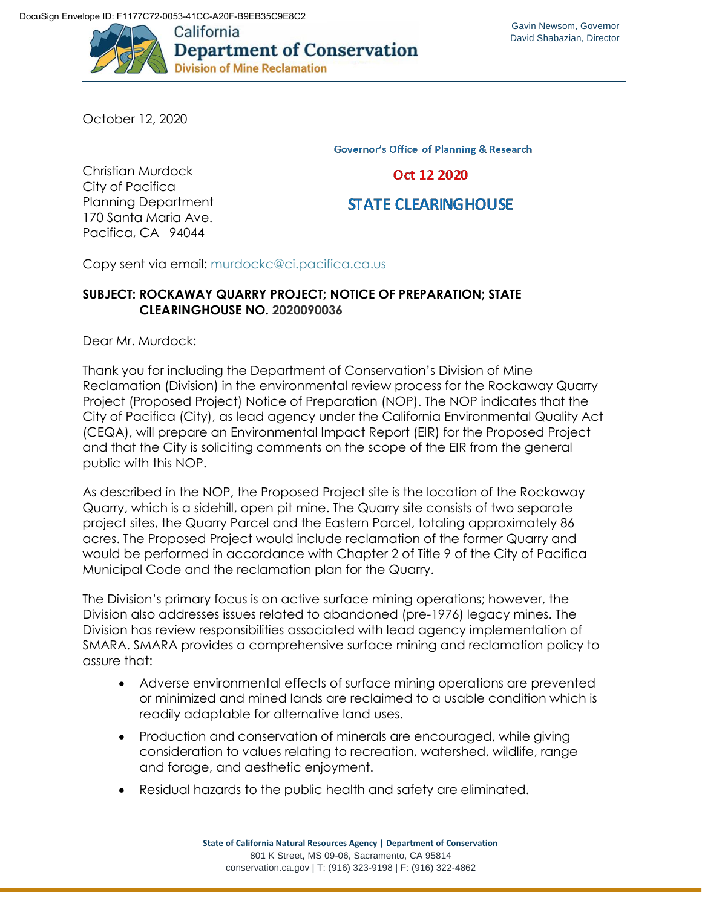

October 12, 2020

**Governor's Office of Planning & Research** 

Oct 12 2020

**STATE CLEARING HOUSE** 

Christian Murdock City of Pacifica Planning Department 170 Santa Maria Ave. Pacifica, CA 94044

Copy sent via email: [murdockc@ci.pacifica.ca.us](mailto:murdockc@ci.pacifica.ca.us)

## **SUBJECT: ROCKAWAY QUARRY PROJECT; NOTICE OF PREPARATION; STATE CLEARINGHOUSE NO. 2020090036**

Dear Mr. Murdock:

Thank you for including the Department of Conservation's Division of Mine Reclamation (Division) in the environmental review process for the Rockaway Quarry Project (Proposed Project) Notice of Preparation (NOP). The NOP indicates that the City of Pacifica (City), as lead agency under the California Environmental Quality Act (CEQA), will prepare an Environmental Impact Report (EIR) for the Proposed Project and that the City is soliciting comments on the scope of the EIR from the general public with this NOP.

As described in the NOP, the Proposed Project site is the location of the Rockaway Quarry, which is a sidehill, open pit mine. The Quarry site consists of two separate project sites, the Quarry Parcel and the Eastern Parcel, totaling approximately 86 acres. The Proposed Project would include reclamation of the former Quarry and would be performed in accordance with Chapter 2 of Title 9 of the City of Pacifica Municipal Code and the reclamation plan for the Quarry.

The Division's primary focus is on active surface mining operations; however, the Division also addresses issues related to abandoned (pre-1976) legacy mines. The Division has review responsibilities associated with lead agency implementation of SMARA. SMARA provides a comprehensive surface mining and reclamation policy to assure that:

- Adverse environmental effects of surface mining operations are prevented or minimized and mined lands are reclaimed to a usable condition which is readily adaptable for alternative land uses.
- Production and conservation of minerals are encouraged, while giving consideration to values relating to recreation, watershed, wildlife, range and forage, and aesthetic enjoyment.
- Residual hazards to the public health and safety are eliminated.